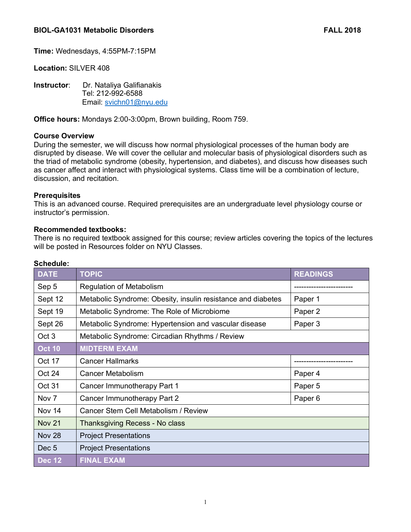**Time:** Wednesdays, 4:55PM-7:15PM

**Location:** SILVER 408

**Instructor**: Dr. Nataliya Galifianakis Tel: 212-992-6588 Email: svichn01@nyu.edu

**Office hours:** Mondays 2:00-3:00pm, Brown building, Room 759.

# **Course Overview**

During the semester, we will discuss how normal physiological processes of the human body are disrupted by disease. We will cover the cellular and molecular basis of physiological disorders such as the triad of metabolic syndrome (obesity, hypertension, and diabetes), and discuss how diseases such as cancer affect and interact with physiological systems. Class time will be a combination of lecture, discussion, and recitation.

# **Prerequisites**

This is an advanced course. Required prerequisites are an undergraduate level physiology course or instructor's permission.

# **Recommended textbooks:**

There is no required textbook assigned for this course; review articles covering the topics of the lectures will be posted in Resources folder on NYU Classes.

| ocnegule.           |                                                              |                    |
|---------------------|--------------------------------------------------------------|--------------------|
| <b>DATE</b>         | <b>TOPIC</b>                                                 | <b>READINGS</b>    |
| Sep 5               | <b>Regulation of Metabolism</b>                              |                    |
| Sept 12             | Metabolic Syndrome: Obesity, insulin resistance and diabetes | Paper 1            |
| Sept 19             | Metabolic Syndrome: The Role of Microbiome                   | Paper 2            |
| Sept 26             | Metabolic Syndrome: Hypertension and vascular disease        | Paper 3            |
| Oct <sub>3</sub>    | Metabolic Syndrome: Circadian Rhythms / Review               |                    |
| $\overline{Oct}$ 10 | <b>MIDTERM EXAM</b>                                          |                    |
| Oct 17              | <b>Cancer Hallmarks</b>                                      |                    |
| Oct 24              | Cancer Metabolism                                            | Paper 4            |
| Oct 31              | Cancer Immunotherapy Part 1                                  | Paper 5            |
| Nov 7               | Cancer Immunotherapy Part 2                                  | Paper <sub>6</sub> |
| Nov 14              | Cancer Stem Cell Metabolism / Review                         |                    |
| <b>Nov 21</b>       | Thanksgiving Recess - No class                               |                    |
| Nov 28              | <b>Project Presentations</b>                                 |                    |
| Dec <sub>5</sub>    | <b>Project Presentations</b>                                 |                    |
| <b>Dec 12</b>       | <b>FINAL EXAM</b>                                            |                    |

# **Schedule:**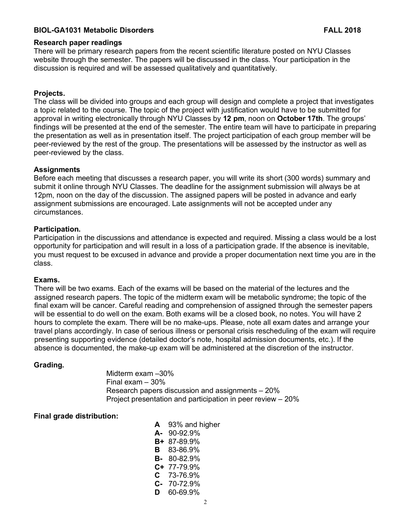# **BIOL-GA1031 Metabolic Disorders FALL 2018**

## **Research paper readings**

There will be primary research papers from the recent scientific literature posted on NYU Classes website through the semester. The papers will be discussed in the class. Your participation in the discussion is required and will be assessed qualitatively and quantitatively.

# **Projects.**

The class will be divided into groups and each group will design and complete a project that investigates a topic related to the course. The topic of the project with justification would have to be submitted for approval in writing electronically through NYU Classes by **12 pm**, noon on **October 17th**. The groups' findings will be presented at the end of the semester. The entire team will have to participate in preparing the presentation as well as in presentation itself. The project participation of each group member will be peer-reviewed by the rest of the group. The presentations will be assessed by the instructor as well as peer-reviewed by the class.

#### **Assignments**

Before each meeting that discusses a research paper, you will write its short (300 words) summary and submit it online through NYU Classes. The deadline for the assignment submission will always be at 12pm, noon on the day of the discussion. The assigned papers will be posted in advance and early assignment submissions are encouraged. Late assignments will not be accepted under any circumstances.

# **Participation.**

Participation in the discussions and attendance is expected and required. Missing a class would be a lost opportunity for participation and will result in a loss of a participation grade. If the absence is inevitable, you must request to be excused in advance and provide a proper documentation next time you are in the class.

#### **Exams.**

There will be two exams. Each of the exams will be based on the material of the lectures and the assigned research papers. The topic of the midterm exam will be metabolic syndrome; the topic of the final exam will be cancer. Careful reading and comprehension of assigned through the semester papers will be essential to do well on the exam. Both exams will be a closed book, no notes. You will have 2 hours to complete the exam. There will be no make-ups. Please, note all exam dates and arrange your travel plans accordingly. In case of serious illness or personal crisis rescheduling of the exam will require presenting supporting evidence (detailed doctor's note, hospital admission documents, etc.). If the absence is documented, the make-up exam will be administered at the discretion of the instructor.

## **Grading.**

Midterm exam –30% Final exam – 30% Research papers discussion and assignments – 20% Project presentation and participation in peer review – 20%

# **Final grade distribution:**

| A  | 93% and higher     |
|----|--------------------|
| А- | 90-92.9%           |
|    | B+ 87-89.9%        |
| В  | 83-86.9%           |
|    | <b>B-</b> 80-82.9% |
|    | $C+ 77-79.9%$      |
|    | $C$ 73-76.9%       |
|    | $C-70-72.9%$       |
| D  | 60-69.9%           |